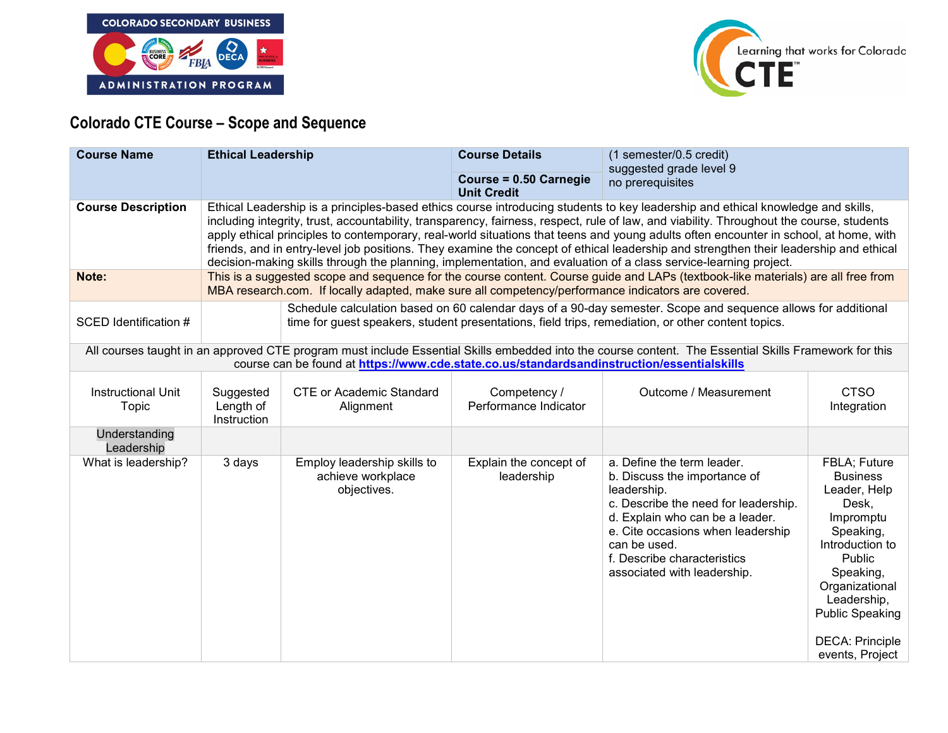



## **Colorado CTE Course – Scope and Sequence**

| <b>Course Name</b>                 | <b>Ethical Leadership</b>             |                                                                                                                                                                                                                                                                                                                                                                                                                                                                                                                                                                                                                                                                                  | <b>Course Details</b><br>Course = 0.50 Carnegie<br><b>Unit Credit</b> | (1 semester/0.5 credit)<br>suggested grade level 9<br>no prerequisites                                                                                                                                                                                                  |                                                                                                                                                                                                                                      |  |  |
|------------------------------------|---------------------------------------|----------------------------------------------------------------------------------------------------------------------------------------------------------------------------------------------------------------------------------------------------------------------------------------------------------------------------------------------------------------------------------------------------------------------------------------------------------------------------------------------------------------------------------------------------------------------------------------------------------------------------------------------------------------------------------|-----------------------------------------------------------------------|-------------------------------------------------------------------------------------------------------------------------------------------------------------------------------------------------------------------------------------------------------------------------|--------------------------------------------------------------------------------------------------------------------------------------------------------------------------------------------------------------------------------------|--|--|
| <b>Course Description</b>          |                                       | Ethical Leadership is a principles-based ethics course introducing students to key leadership and ethical knowledge and skills,<br>including integrity, trust, accountability, transparency, fairness, respect, rule of law, and viability. Throughout the course, students<br>apply ethical principles to contemporary, real-world situations that teens and young adults often encounter in school, at home, with<br>friends, and in entry-level job positions. They examine the concept of ethical leadership and strengthen their leadership and ethical<br>decision-making skills through the planning, implementation, and evaluation of a class service-learning project. |                                                                       |                                                                                                                                                                                                                                                                         |                                                                                                                                                                                                                                      |  |  |
| Note:                              |                                       | MBA research.com. If locally adapted, make sure all competency/performance indicators are covered.                                                                                                                                                                                                                                                                                                                                                                                                                                                                                                                                                                               |                                                                       | This is a suggested scope and sequence for the course content. Course guide and LAPs (textbook-like materials) are all free from                                                                                                                                        |                                                                                                                                                                                                                                      |  |  |
| SCED Identification #              |                                       |                                                                                                                                                                                                                                                                                                                                                                                                                                                                                                                                                                                                                                                                                  |                                                                       | Schedule calculation based on 60 calendar days of a 90-day semester. Scope and sequence allows for additional<br>time for guest speakers, student presentations, field trips, remediation, or other content topics.                                                     |                                                                                                                                                                                                                                      |  |  |
|                                    |                                       | course can be found at https://www.cde.state.co.us/standardsandinstruction/essentialskills                                                                                                                                                                                                                                                                                                                                                                                                                                                                                                                                                                                       |                                                                       | All courses taught in an approved CTE program must include Essential Skills embedded into the course content. The Essential Skills Framework for this                                                                                                                   |                                                                                                                                                                                                                                      |  |  |
| <b>Instructional Unit</b><br>Topic | Suggested<br>Length of<br>Instruction | <b>CTE or Academic Standard</b><br>Alignment                                                                                                                                                                                                                                                                                                                                                                                                                                                                                                                                                                                                                                     | Competency /<br>Performance Indicator                                 | Outcome / Measurement                                                                                                                                                                                                                                                   | <b>CTSO</b><br>Integration                                                                                                                                                                                                           |  |  |
| Understanding<br>Leadership        |                                       |                                                                                                                                                                                                                                                                                                                                                                                                                                                                                                                                                                                                                                                                                  |                                                                       |                                                                                                                                                                                                                                                                         |                                                                                                                                                                                                                                      |  |  |
| What is leadership?                | 3 days                                | Employ leadership skills to<br>achieve workplace<br>objectives.                                                                                                                                                                                                                                                                                                                                                                                                                                                                                                                                                                                                                  | Explain the concept of<br>leadership                                  | a. Define the term leader.<br>b. Discuss the importance of<br>leadership.<br>c. Describe the need for leadership.<br>d. Explain who can be a leader.<br>e. Cite occasions when leadership<br>can be used.<br>f. Describe characteristics<br>associated with leadership. | FBLA; Future<br><b>Business</b><br>Leader, Help<br>Desk,<br>Impromptu<br>Speaking,<br>Introduction to<br>Public<br>Speaking,<br>Organizational<br>Leadership,<br><b>Public Speaking</b><br><b>DECA: Principle</b><br>events, Project |  |  |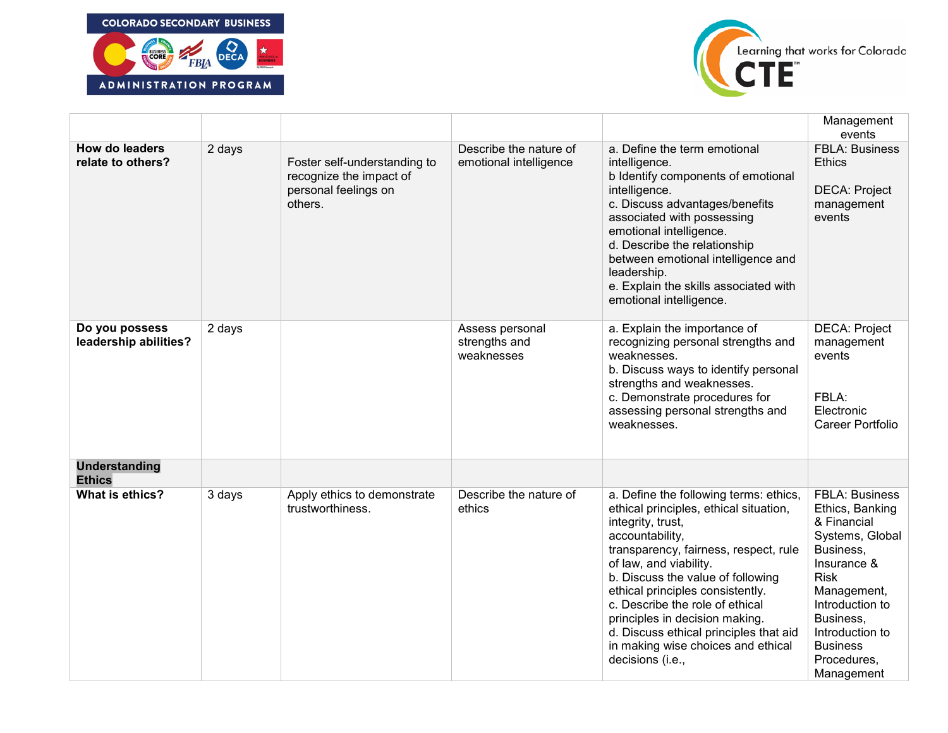



|                                            |        |                                                                                            |                                                  |                                                                                                                                                                                                                                                                                                                                                                                                                                               | Management<br>events                                                                                                                                                                                                                    |
|--------------------------------------------|--------|--------------------------------------------------------------------------------------------|--------------------------------------------------|-----------------------------------------------------------------------------------------------------------------------------------------------------------------------------------------------------------------------------------------------------------------------------------------------------------------------------------------------------------------------------------------------------------------------------------------------|-----------------------------------------------------------------------------------------------------------------------------------------------------------------------------------------------------------------------------------------|
| <b>How do leaders</b><br>relate to others? | 2 days | Foster self-understanding to<br>recognize the impact of<br>personal feelings on<br>others. | Describe the nature of<br>emotional intelligence | a. Define the term emotional<br>intelligence.<br>b Identify components of emotional<br>intelligence.<br>c. Discuss advantages/benefits<br>associated with possessing<br>emotional intelligence.<br>d. Describe the relationship<br>between emotional intelligence and<br>leadership.<br>e. Explain the skills associated with<br>emotional intelligence.                                                                                      | <b>FBLA: Business</b><br><b>Ethics</b><br><b>DECA: Project</b><br>management<br>events                                                                                                                                                  |
| Do you possess<br>leadership abilities?    | 2 days |                                                                                            | Assess personal<br>strengths and<br>weaknesses   | a. Explain the importance of<br>recognizing personal strengths and<br>weaknesses.<br>b. Discuss ways to identify personal<br>strengths and weaknesses.<br>c. Demonstrate procedures for<br>assessing personal strengths and<br>weaknesses.                                                                                                                                                                                                    | <b>DECA: Project</b><br>management<br>events<br>FBLA:<br>Electronic<br>Career Portfolio                                                                                                                                                 |
| <b>Understanding</b><br><b>Ethics</b>      |        |                                                                                            |                                                  |                                                                                                                                                                                                                                                                                                                                                                                                                                               |                                                                                                                                                                                                                                         |
| What is ethics?                            | 3 days | Apply ethics to demonstrate<br>trustworthiness.                                            | Describe the nature of<br>ethics                 | a. Define the following terms: ethics,<br>ethical principles, ethical situation,<br>integrity, trust,<br>accountability,<br>transparency, fairness, respect, rule<br>of law, and viability.<br>b. Discuss the value of following<br>ethical principles consistently.<br>c. Describe the role of ethical<br>principles in decision making.<br>d. Discuss ethical principles that aid<br>in making wise choices and ethical<br>decisions (i.e., | <b>FBLA: Business</b><br>Ethics, Banking<br>& Financial<br>Systems, Global<br>Business,<br>Insurance &<br><b>Risk</b><br>Management,<br>Introduction to<br>Business,<br>Introduction to<br><b>Business</b><br>Procedures,<br>Management |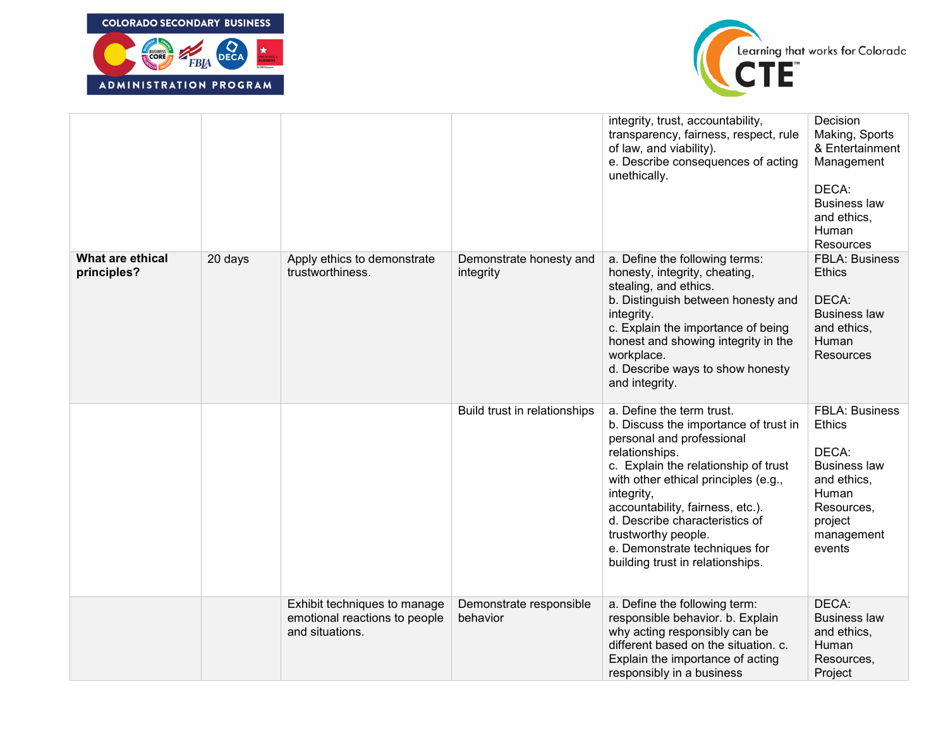



|                                 |         |                                                                                  |                                      | integrity, trust, accountability,<br>transparency, fairness, respect, rule<br>of law, and viability).<br>e. Describe consequences of acting<br>unethically.                                                                                                                                                                                                                       | Decision<br>Making, Sports<br>& Entertainment<br>Management<br>DECA:<br><b>Business law</b><br>and ethics,<br>Human<br>Resources                |
|---------------------------------|---------|----------------------------------------------------------------------------------|--------------------------------------|-----------------------------------------------------------------------------------------------------------------------------------------------------------------------------------------------------------------------------------------------------------------------------------------------------------------------------------------------------------------------------------|-------------------------------------------------------------------------------------------------------------------------------------------------|
| What are ethical<br>principles? | 20 days | Apply ethics to demonstrate<br>trustworthiness.                                  | Demonstrate honesty and<br>integrity | a. Define the following terms:<br>honesty, integrity, cheating,<br>stealing, and ethics.<br>b. Distinguish between honesty and<br>integrity.<br>c. Explain the importance of being<br>honest and showing integrity in the<br>workplace.<br>d. Describe ways to show honesty<br>and integrity.                                                                                     | <b>FBLA: Business</b><br><b>Ethics</b><br>DECA:<br><b>Business law</b><br>and ethics,<br>Human<br><b>Resources</b>                              |
|                                 |         |                                                                                  | Build trust in relationships         | a. Define the term trust.<br>b. Discuss the importance of trust in<br>personal and professional<br>relationships.<br>c. Explain the relationship of trust<br>with other ethical principles (e.g.,<br>integrity,<br>accountability, fairness, etc.).<br>d. Describe characteristics of<br>trustworthy people.<br>e. Demonstrate techniques for<br>building trust in relationships. | <b>FBLA: Business</b><br><b>Ethics</b><br>DECA:<br><b>Business law</b><br>and ethics,<br>Human<br>Resources,<br>project<br>management<br>events |
|                                 |         | Exhibit techniques to manage<br>emotional reactions to people<br>and situations. | Demonstrate responsible<br>behavior  | a. Define the following term:<br>responsible behavior. b. Explain<br>why acting responsibly can be<br>different based on the situation. c.<br>Explain the importance of acting<br>responsibly in a business                                                                                                                                                                       | DECA:<br><b>Business law</b><br>and ethics.<br>Human<br>Resources,<br>Project                                                                   |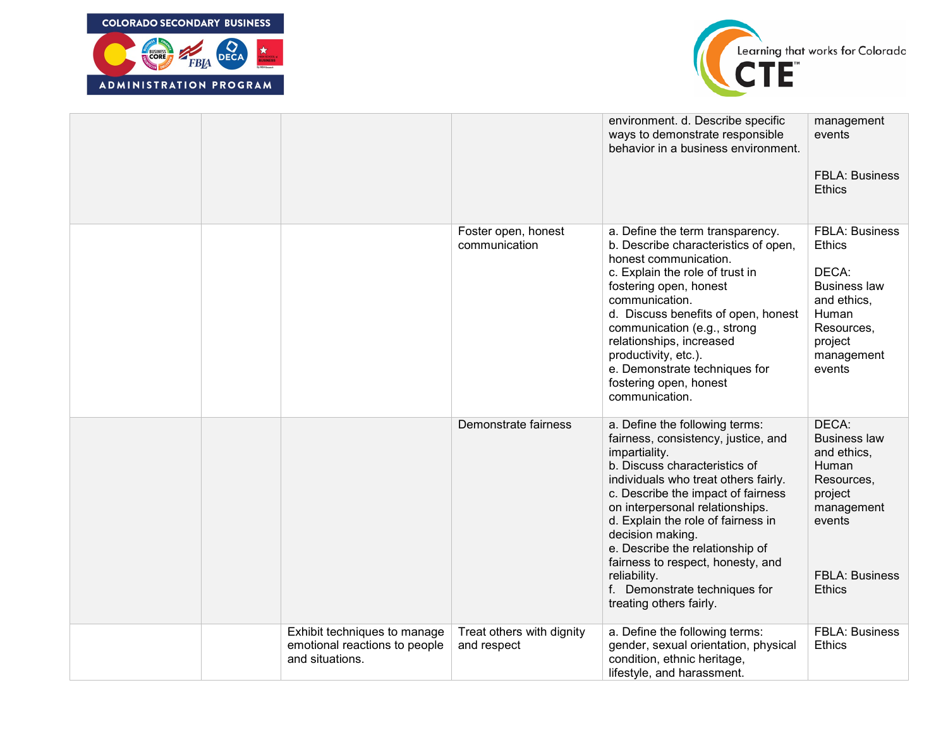



|                                                                                  |                                          | environment. d. Describe specific<br>ways to demonstrate responsible<br>behavior in a business environment.                                                                                                                                                                                                                                                                                                                                            | management<br>events<br><b>FBLA: Business</b><br><b>Ethics</b>                                                                                  |
|----------------------------------------------------------------------------------|------------------------------------------|--------------------------------------------------------------------------------------------------------------------------------------------------------------------------------------------------------------------------------------------------------------------------------------------------------------------------------------------------------------------------------------------------------------------------------------------------------|-------------------------------------------------------------------------------------------------------------------------------------------------|
|                                                                                  | Foster open, honest<br>communication     | a. Define the term transparency.<br>b. Describe characteristics of open,<br>honest communication.<br>c. Explain the role of trust in<br>fostering open, honest<br>communication.<br>d. Discuss benefits of open, honest<br>communication (e.g., strong<br>relationships, increased<br>productivity, etc.).<br>e. Demonstrate techniques for<br>fostering open, honest<br>communication.                                                                | <b>FBLA: Business</b><br><b>Ethics</b><br>DECA:<br><b>Business law</b><br>and ethics,<br>Human<br>Resources,<br>project<br>management<br>events |
|                                                                                  | Demonstrate fairness                     | a. Define the following terms:<br>fairness, consistency, justice, and<br>impartiality.<br>b. Discuss characteristics of<br>individuals who treat others fairly.<br>c. Describe the impact of fairness<br>on interpersonal relationships.<br>d. Explain the role of fairness in<br>decision making.<br>e. Describe the relationship of<br>fairness to respect, honesty, and<br>reliability.<br>f. Demonstrate techniques for<br>treating others fairly. | DECA:<br><b>Business law</b><br>and ethics,<br>Human<br>Resources,<br>project<br>management<br>events<br><b>FBLA: Business</b><br><b>Ethics</b> |
| Exhibit techniques to manage<br>emotional reactions to people<br>and situations. | Treat others with dignity<br>and respect | a. Define the following terms:<br>gender, sexual orientation, physical<br>condition, ethnic heritage,<br>lifestyle, and harassment.                                                                                                                                                                                                                                                                                                                    | <b>FBLA: Business</b><br><b>Ethics</b>                                                                                                          |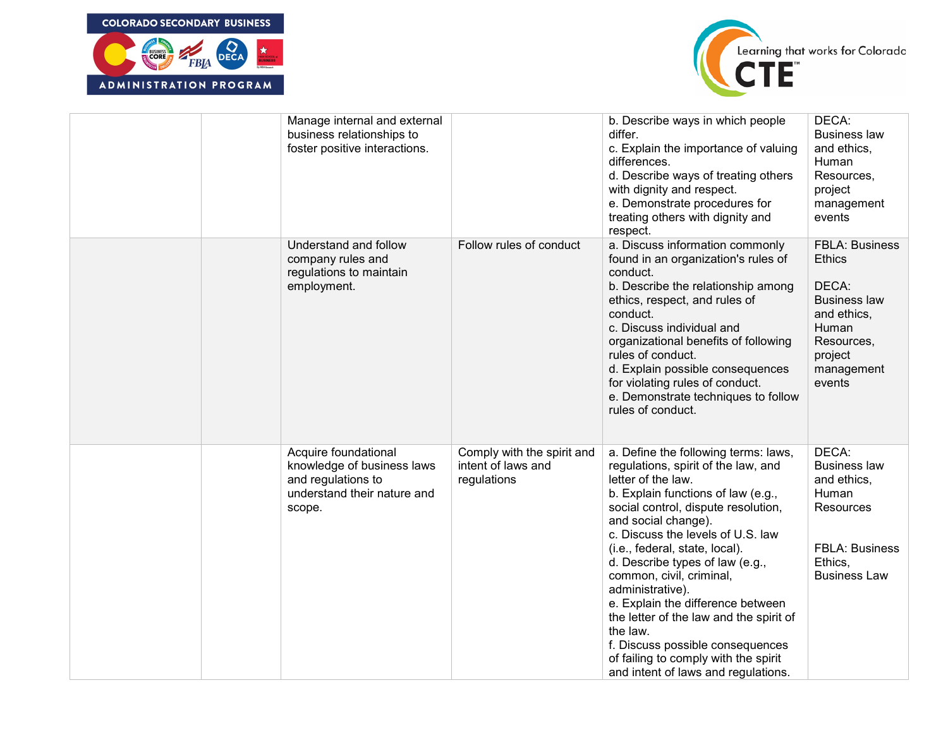



|  | Manage internal and external<br>business relationships to<br>foster positive interactions.                        |                                                                 | b. Describe ways in which people<br>differ.<br>c. Explain the importance of valuing<br>differences.<br>d. Describe ways of treating others<br>with dignity and respect.<br>e. Demonstrate procedures for<br>treating others with dignity and<br>respect.                                                                                                                                                                                                                                                                                                                       | DECA:<br><b>Business law</b><br>and ethics,<br>Human<br>Resources,<br>project<br>management<br>events                                           |
|--|-------------------------------------------------------------------------------------------------------------------|-----------------------------------------------------------------|--------------------------------------------------------------------------------------------------------------------------------------------------------------------------------------------------------------------------------------------------------------------------------------------------------------------------------------------------------------------------------------------------------------------------------------------------------------------------------------------------------------------------------------------------------------------------------|-------------------------------------------------------------------------------------------------------------------------------------------------|
|  | Understand and follow<br>company rules and<br>regulations to maintain<br>employment.                              | Follow rules of conduct                                         | a. Discuss information commonly<br>found in an organization's rules of<br>conduct.<br>b. Describe the relationship among<br>ethics, respect, and rules of<br>conduct.<br>c. Discuss individual and<br>organizational benefits of following<br>rules of conduct.<br>d. Explain possible consequences<br>for violating rules of conduct.<br>e. Demonstrate techniques to follow<br>rules of conduct.                                                                                                                                                                             | <b>FBLA: Business</b><br><b>Ethics</b><br>DECA:<br><b>Business law</b><br>and ethics,<br>Human<br>Resources,<br>project<br>management<br>events |
|  | Acquire foundational<br>knowledge of business laws<br>and regulations to<br>understand their nature and<br>scope. | Comply with the spirit and<br>intent of laws and<br>regulations | a. Define the following terms: laws,<br>regulations, spirit of the law, and<br>letter of the law.<br>b. Explain functions of law (e.g.,<br>social control, dispute resolution,<br>and social change).<br>c. Discuss the levels of U.S. law<br>(i.e., federal, state, local).<br>d. Describe types of law (e.g.,<br>common, civil, criminal,<br>administrative).<br>e. Explain the difference between<br>the letter of the law and the spirit of<br>the law.<br>f. Discuss possible consequences<br>of failing to comply with the spirit<br>and intent of laws and regulations. | DECA:<br><b>Business law</b><br>and ethics,<br>Human<br>Resources<br><b>FBLA: Business</b><br>Ethics,<br><b>Business Law</b>                    |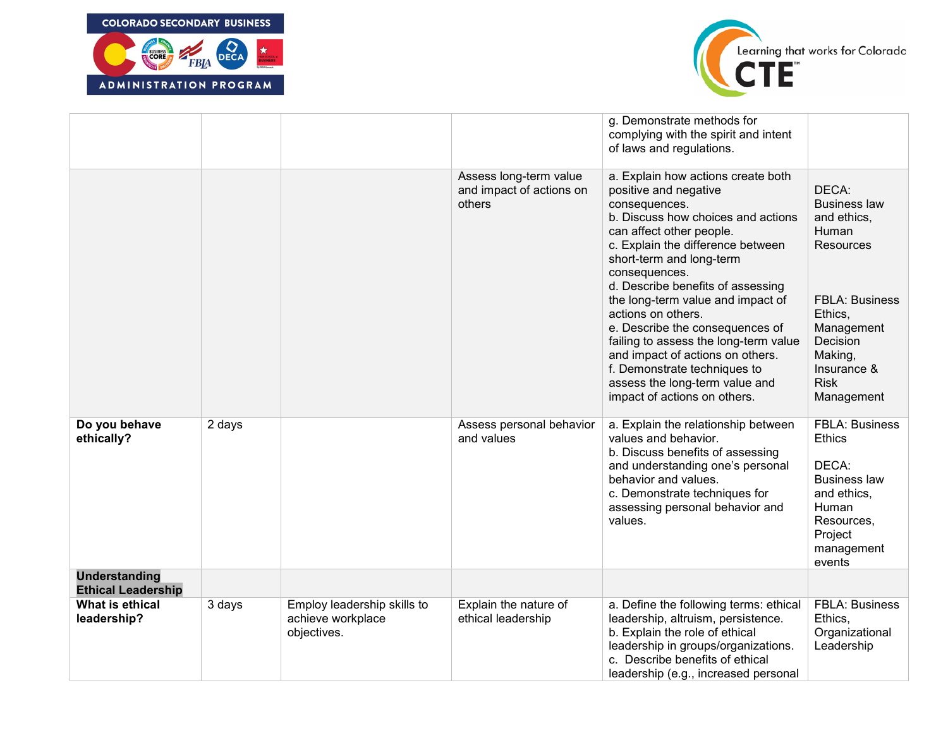



|                                                   |        |                                                                 |                                                              | g. Demonstrate methods for<br>complying with the spirit and intent<br>of laws and regulations.                                                                                                                                                                                                                                                                                                                                                                                                                                                     |                                                                                                                                                                                               |
|---------------------------------------------------|--------|-----------------------------------------------------------------|--------------------------------------------------------------|----------------------------------------------------------------------------------------------------------------------------------------------------------------------------------------------------------------------------------------------------------------------------------------------------------------------------------------------------------------------------------------------------------------------------------------------------------------------------------------------------------------------------------------------------|-----------------------------------------------------------------------------------------------------------------------------------------------------------------------------------------------|
|                                                   |        |                                                                 | Assess long-term value<br>and impact of actions on<br>others | a. Explain how actions create both<br>positive and negative<br>consequences.<br>b. Discuss how choices and actions<br>can affect other people.<br>c. Explain the difference between<br>short-term and long-term<br>consequences.<br>d. Describe benefits of assessing<br>the long-term value and impact of<br>actions on others.<br>e. Describe the consequences of<br>failing to assess the long-term value<br>and impact of actions on others.<br>f. Demonstrate techniques to<br>assess the long-term value and<br>impact of actions on others. | DECA:<br><b>Business law</b><br>and ethics,<br>Human<br><b>Resources</b><br><b>FBLA: Business</b><br>Ethics,<br>Management<br>Decision<br>Making,<br>Insurance &<br><b>Risk</b><br>Management |
| Do you behave<br>ethically?                       | 2 days |                                                                 | Assess personal behavior<br>and values                       | a. Explain the relationship between<br>values and behavior.<br>b. Discuss benefits of assessing<br>and understanding one's personal<br>behavior and values.<br>c. Demonstrate techniques for<br>assessing personal behavior and<br>values.                                                                                                                                                                                                                                                                                                         | <b>FBLA: Business</b><br><b>Ethics</b><br>DECA:<br><b>Business law</b><br>and ethics,<br>Human<br>Resources,<br>Project<br>management<br>events                                               |
| <b>Understanding</b><br><b>Ethical Leadership</b> |        |                                                                 |                                                              |                                                                                                                                                                                                                                                                                                                                                                                                                                                                                                                                                    |                                                                                                                                                                                               |
| What is ethical<br>leadership?                    | 3 days | Employ leadership skills to<br>achieve workplace<br>objectives. | Explain the nature of<br>ethical leadership                  | a. Define the following terms: ethical<br>leadership, altruism, persistence.<br>b. Explain the role of ethical<br>leadership in groups/organizations.<br>c. Describe benefits of ethical<br>leadership (e.g., increased personal                                                                                                                                                                                                                                                                                                                   | <b>FBLA: Business</b><br>Ethics,<br>Organizational<br>Leadership                                                                                                                              |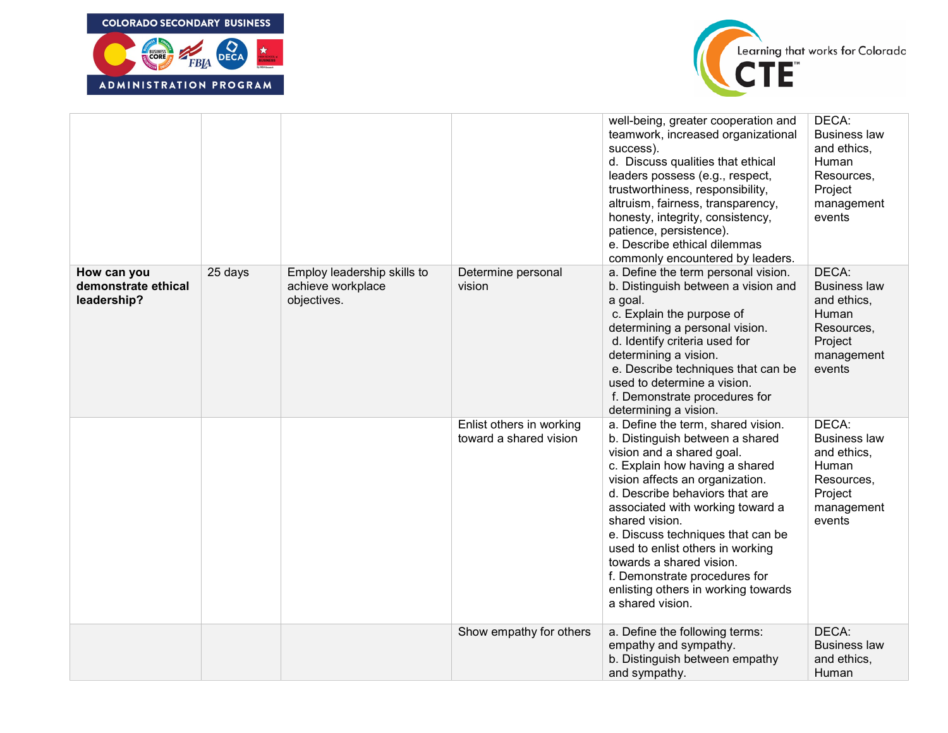



|                                                   |         |                                                                 |                                                    | well-being, greater cooperation and<br>teamwork, increased organizational<br>success).<br>d. Discuss qualities that ethical<br>leaders possess (e.g., respect,<br>trustworthiness, responsibility,<br>altruism, fairness, transparency,<br>honesty, integrity, consistency,<br>patience, persistence).<br>e. Describe ethical dilemmas<br>commonly encountered by leaders.                                                                                       | DECA:<br><b>Business law</b><br>and ethics.<br>Human<br>Resources,<br>Project<br>management<br>events |
|---------------------------------------------------|---------|-----------------------------------------------------------------|----------------------------------------------------|------------------------------------------------------------------------------------------------------------------------------------------------------------------------------------------------------------------------------------------------------------------------------------------------------------------------------------------------------------------------------------------------------------------------------------------------------------------|-------------------------------------------------------------------------------------------------------|
| How can you<br>demonstrate ethical<br>leadership? | 25 days | Employ leadership skills to<br>achieve workplace<br>objectives. | Determine personal<br>vision                       | a. Define the term personal vision.<br>b. Distinguish between a vision and<br>a goal.<br>c. Explain the purpose of<br>determining a personal vision.<br>d. Identify criteria used for<br>determining a vision.<br>e. Describe techniques that can be<br>used to determine a vision.<br>f. Demonstrate procedures for<br>determining a vision.                                                                                                                    | DECA:<br><b>Business law</b><br>and ethics,<br>Human<br>Resources,<br>Project<br>management<br>events |
|                                                   |         |                                                                 | Enlist others in working<br>toward a shared vision | a. Define the term, shared vision.<br>b. Distinguish between a shared<br>vision and a shared goal.<br>c. Explain how having a shared<br>vision affects an organization.<br>d. Describe behaviors that are<br>associated with working toward a<br>shared vision.<br>e. Discuss techniques that can be<br>used to enlist others in working<br>towards a shared vision.<br>f. Demonstrate procedures for<br>enlisting others in working towards<br>a shared vision. | DECA:<br><b>Business law</b><br>and ethics,<br>Human<br>Resources,<br>Project<br>management<br>events |
|                                                   |         |                                                                 | Show empathy for others                            | a. Define the following terms:<br>empathy and sympathy.<br>b. Distinguish between empathy<br>and sympathy.                                                                                                                                                                                                                                                                                                                                                       | DECA:<br><b>Business law</b><br>and ethics,<br>Human                                                  |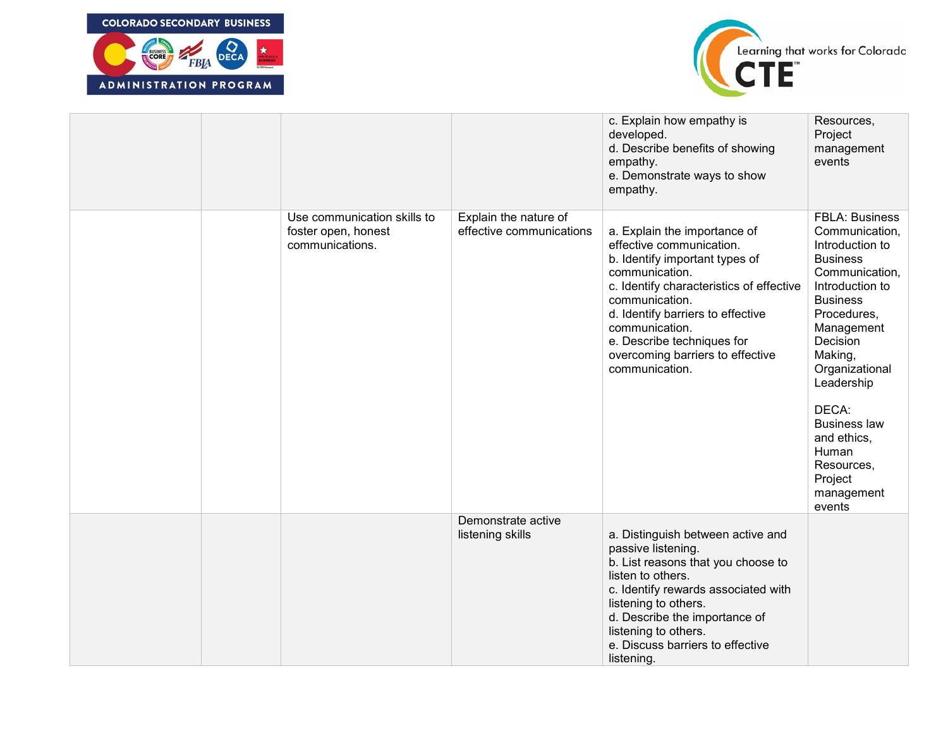



|  |                                                                       |                                                   | c. Explain how empathy is<br>developed.<br>d. Describe benefits of showing<br>empathy.<br>e. Demonstrate ways to show<br>empathy.                                                                                                                                                                                     | Resources,<br>Project<br>management<br>events                                                                                                                                                                                                                                                                                      |
|--|-----------------------------------------------------------------------|---------------------------------------------------|-----------------------------------------------------------------------------------------------------------------------------------------------------------------------------------------------------------------------------------------------------------------------------------------------------------------------|------------------------------------------------------------------------------------------------------------------------------------------------------------------------------------------------------------------------------------------------------------------------------------------------------------------------------------|
|  | Use communication skills to<br>foster open, honest<br>communications. | Explain the nature of<br>effective communications | a. Explain the importance of<br>effective communication.<br>b. Identify important types of<br>communication.<br>c. Identify characteristics of effective<br>communication.<br>d. Identify barriers to effective<br>communication.<br>e. Describe techniques for<br>overcoming barriers to effective<br>communication. | <b>FBLA: Business</b><br>Communication,<br>Introduction to<br><b>Business</b><br>Communication,<br>Introduction to<br><b>Business</b><br>Procedures,<br>Management<br>Decision<br>Making,<br>Organizational<br>Leadership<br>DECA:<br><b>Business law</b><br>and ethics,<br>Human<br>Resources,<br>Project<br>management<br>events |
|  |                                                                       | Demonstrate active<br>listening skills            | a. Distinguish between active and<br>passive listening.<br>b. List reasons that you choose to<br>listen to others.<br>c. Identify rewards associated with<br>listening to others.<br>d. Describe the importance of<br>listening to others.<br>e. Discuss barriers to effective<br>listening.                          |                                                                                                                                                                                                                                                                                                                                    |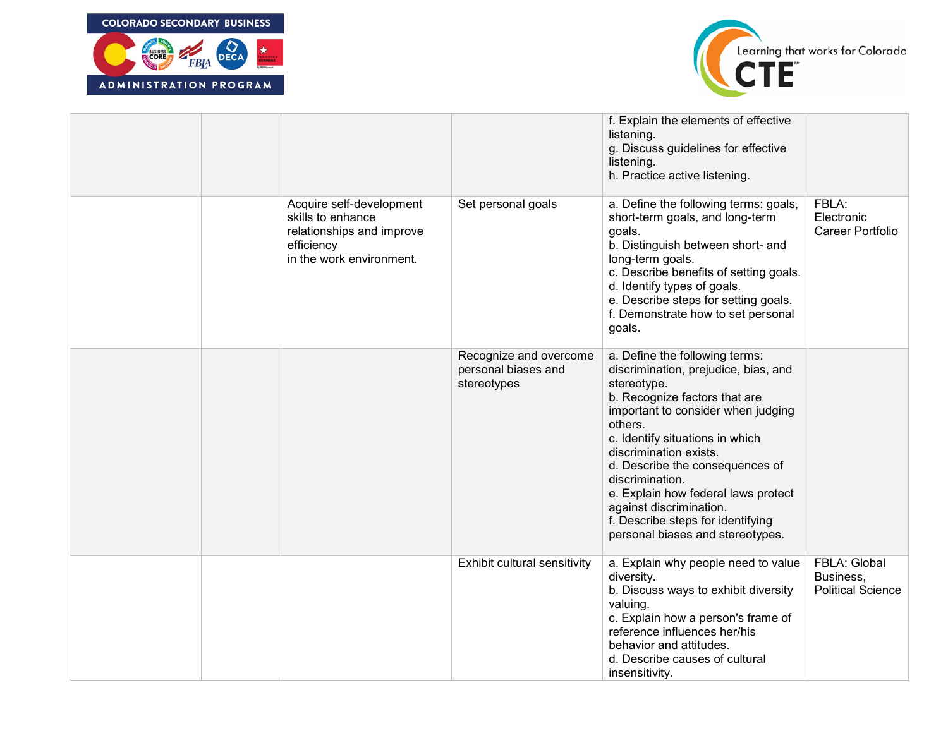



|  |                                                                                                                      |                                                              | f. Explain the elements of effective<br>listening.<br>g. Discuss guidelines for effective<br>listening.<br>h. Practice active listening.                                                                                                                                                                                                                                                                                              |                                                       |
|--|----------------------------------------------------------------------------------------------------------------------|--------------------------------------------------------------|---------------------------------------------------------------------------------------------------------------------------------------------------------------------------------------------------------------------------------------------------------------------------------------------------------------------------------------------------------------------------------------------------------------------------------------|-------------------------------------------------------|
|  | Acquire self-development<br>skills to enhance<br>relationships and improve<br>efficiency<br>in the work environment. | Set personal goals                                           | a. Define the following terms: goals,<br>short-term goals, and long-term<br>goals.<br>b. Distinguish between short- and<br>long-term goals.<br>c. Describe benefits of setting goals.<br>d. Identify types of goals.<br>e. Describe steps for setting goals.<br>f. Demonstrate how to set personal<br>goals.                                                                                                                          | FBLA:<br>Electronic<br>Career Portfolio               |
|  |                                                                                                                      | Recognize and overcome<br>personal biases and<br>stereotypes | a. Define the following terms:<br>discrimination, prejudice, bias, and<br>stereotype.<br>b. Recognize factors that are<br>important to consider when judging<br>others.<br>c. Identify situations in which<br>discrimination exists.<br>d. Describe the consequences of<br>discrimination.<br>e. Explain how federal laws protect<br>against discrimination.<br>f. Describe steps for identifying<br>personal biases and stereotypes. |                                                       |
|  |                                                                                                                      | Exhibit cultural sensitivity                                 | a. Explain why people need to value<br>diversity.<br>b. Discuss ways to exhibit diversity<br>valuing.<br>c. Explain how a person's frame of<br>reference influences her/his<br>behavior and attitudes.<br>d. Describe causes of cultural<br>insensitivity.                                                                                                                                                                            | FBLA: Global<br>Business,<br><b>Political Science</b> |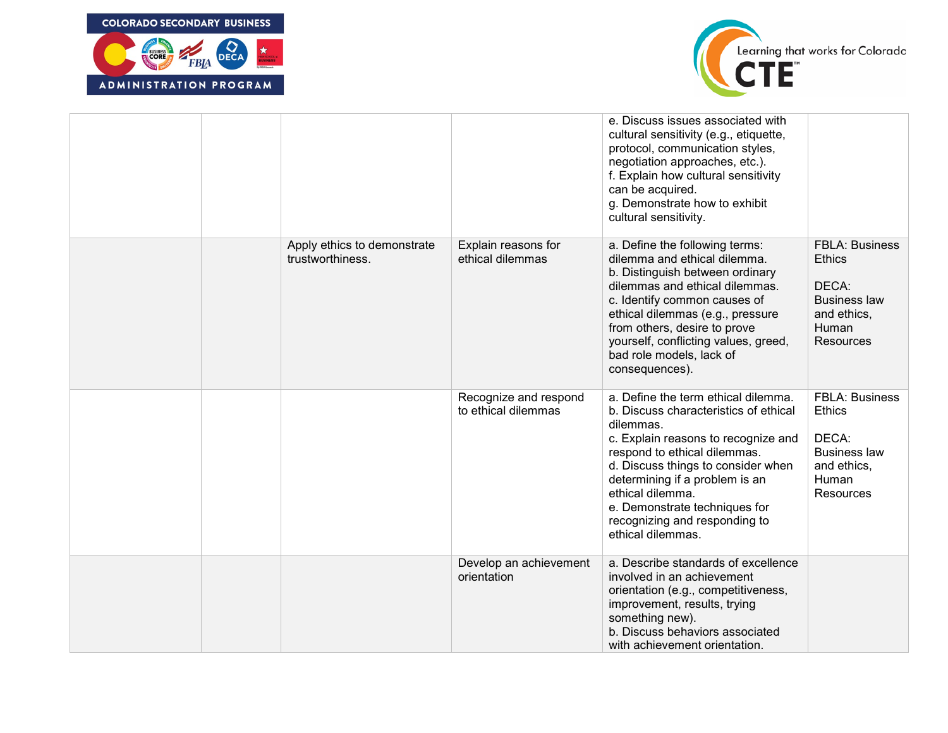



|  |                                                 |                                              | e. Discuss issues associated with<br>cultural sensitivity (e.g., etiquette,<br>protocol, communication styles,<br>negotiation approaches, etc.).<br>f. Explain how cultural sensitivity<br>can be acquired.<br>g. Demonstrate how to exhibit<br>cultural sensitivity.                                                                               |                                                                                                                    |
|--|-------------------------------------------------|----------------------------------------------|-----------------------------------------------------------------------------------------------------------------------------------------------------------------------------------------------------------------------------------------------------------------------------------------------------------------------------------------------------|--------------------------------------------------------------------------------------------------------------------|
|  | Apply ethics to demonstrate<br>trustworthiness. | Explain reasons for<br>ethical dilemmas      | a. Define the following terms:<br>dilemma and ethical dilemma.<br>b. Distinguish between ordinary<br>dilemmas and ethical dilemmas.<br>c. Identify common causes of<br>ethical dilemmas (e.g., pressure<br>from others, desire to prove<br>yourself, conflicting values, greed,<br>bad role models, lack of<br>consequences).                       | <b>FBLA: Business</b><br><b>Ethics</b><br>DECA:<br><b>Business law</b><br>and ethics,<br>Human<br><b>Resources</b> |
|  |                                                 | Recognize and respond<br>to ethical dilemmas | a. Define the term ethical dilemma.<br>b. Discuss characteristics of ethical<br>dilemmas.<br>c. Explain reasons to recognize and<br>respond to ethical dilemmas.<br>d. Discuss things to consider when<br>determining if a problem is an<br>ethical dilemma.<br>e. Demonstrate techniques for<br>recognizing and responding to<br>ethical dilemmas. | <b>FBLA: Business</b><br><b>Ethics</b><br>DECA:<br><b>Business law</b><br>and ethics,<br>Human<br>Resources        |
|  |                                                 | Develop an achievement<br>orientation        | a. Describe standards of excellence<br>involved in an achievement<br>orientation (e.g., competitiveness,<br>improvement, results, trying<br>something new).<br>b. Discuss behaviors associated<br>with achievement orientation.                                                                                                                     |                                                                                                                    |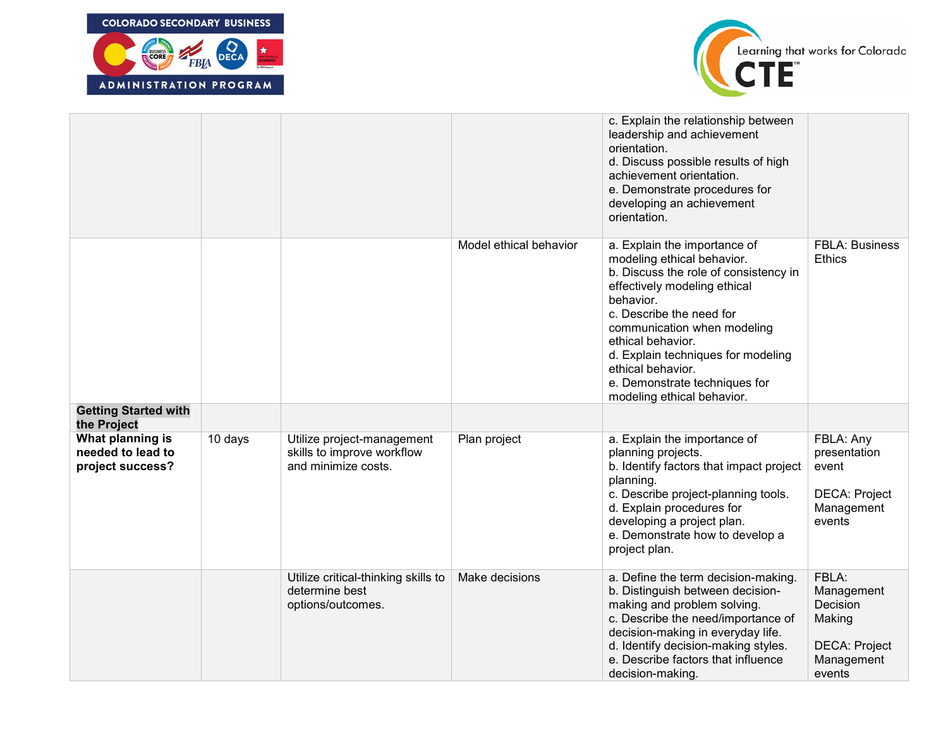



|                                                           |         |                                                                                 |                        | c. Explain the relationship between<br>leadership and achievement<br>orientation.<br>d. Discuss possible results of high<br>achievement orientation.<br>e. Demonstrate procedures for<br>developing an achievement<br>orientation.                                                                                                                         |                                                                                           |
|-----------------------------------------------------------|---------|---------------------------------------------------------------------------------|------------------------|------------------------------------------------------------------------------------------------------------------------------------------------------------------------------------------------------------------------------------------------------------------------------------------------------------------------------------------------------------|-------------------------------------------------------------------------------------------|
|                                                           |         |                                                                                 | Model ethical behavior | a. Explain the importance of<br>modeling ethical behavior.<br>b. Discuss the role of consistency in<br>effectively modeling ethical<br>behavior.<br>c. Describe the need for<br>communication when modeling<br>ethical behavior.<br>d. Explain techniques for modeling<br>ethical behavior.<br>e. Demonstrate techniques for<br>modeling ethical behavior. | <b>FBLA: Business</b><br><b>Ethics</b>                                                    |
| <b>Getting Started with</b><br>the Project                |         |                                                                                 |                        |                                                                                                                                                                                                                                                                                                                                                            |                                                                                           |
| What planning is<br>needed to lead to<br>project success? | 10 days | Utilize project-management<br>skills to improve workflow<br>and minimize costs. | Plan project           | a. Explain the importance of<br>planning projects.<br>b. Identify factors that impact project<br>planning.<br>c. Describe project-planning tools.<br>d. Explain procedures for<br>developing a project plan.<br>e. Demonstrate how to develop a<br>project plan.                                                                                           | FBLA: Any<br>presentation<br>event<br><b>DECA: Project</b><br>Management<br>events        |
|                                                           |         | Utilize critical-thinking skills to<br>determine best<br>options/outcomes.      | Make decisions         | a. Define the term decision-making.<br>b. Distinguish between decision-<br>making and problem solving.<br>c. Describe the need/importance of<br>decision-making in everyday life.<br>d. Identify decision-making styles.<br>e. Describe factors that influence<br>decision-making.                                                                         | FBLA:<br>Management<br>Decision<br>Making<br><b>DECA: Project</b><br>Management<br>events |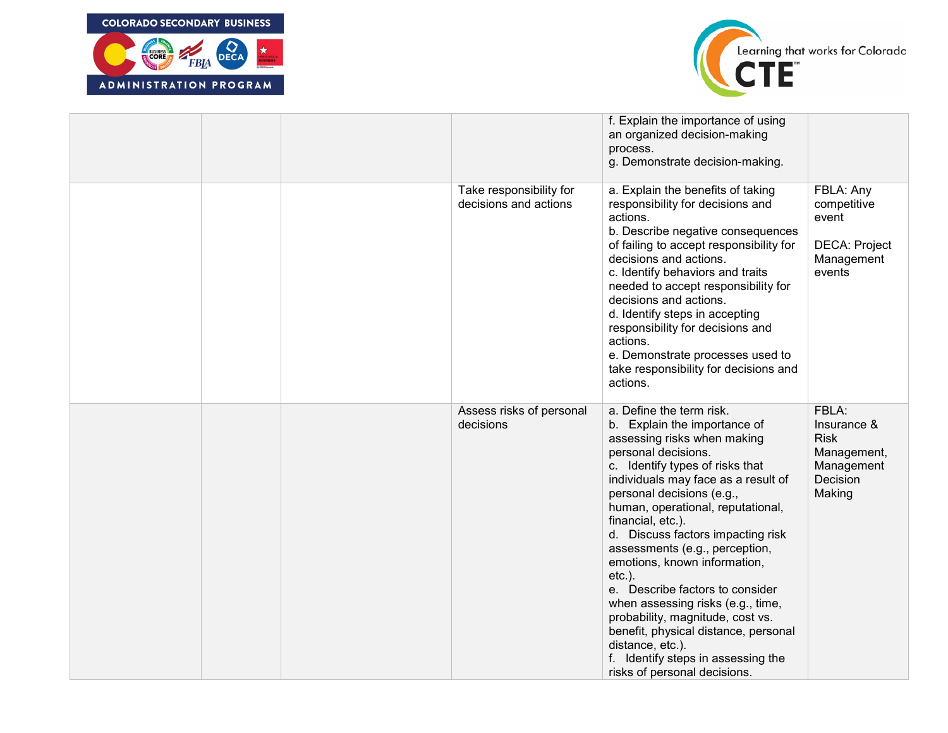



|  |                                                  | f. Explain the importance of using<br>an organized decision-making<br>process.<br>g. Demonstrate decision-making.                                                                                                                                                                                                                                                                                                                                                                                                                                                                                                                                 |                                                                                        |
|--|--------------------------------------------------|---------------------------------------------------------------------------------------------------------------------------------------------------------------------------------------------------------------------------------------------------------------------------------------------------------------------------------------------------------------------------------------------------------------------------------------------------------------------------------------------------------------------------------------------------------------------------------------------------------------------------------------------------|----------------------------------------------------------------------------------------|
|  | Take responsibility for<br>decisions and actions | a. Explain the benefits of taking<br>responsibility for decisions and<br>actions.<br>b. Describe negative consequences<br>of failing to accept responsibility for<br>decisions and actions.<br>c. Identify behaviors and traits<br>needed to accept responsibility for<br>decisions and actions.<br>d. Identify steps in accepting<br>responsibility for decisions and<br>actions.<br>e. Demonstrate processes used to<br>take responsibility for decisions and<br>actions.                                                                                                                                                                       | FBLA: Any<br>competitive<br>event<br><b>DECA: Project</b><br>Management<br>events      |
|  | Assess risks of personal<br>decisions            | a. Define the term risk.<br>b. Explain the importance of<br>assessing risks when making<br>personal decisions.<br>c. Identify types of risks that<br>individuals may face as a result of<br>personal decisions (e.g.,<br>human, operational, reputational,<br>financial, etc.).<br>d. Discuss factors impacting risk<br>assessments (e.g., perception,<br>emotions, known information,<br>$etc.$ ).<br>e. Describe factors to consider<br>when assessing risks (e.g., time,<br>probability, magnitude, cost vs.<br>benefit, physical distance, personal<br>distance, etc.).<br>f. Identify steps in assessing the<br>risks of personal decisions. | FBLA:<br>Insurance &<br><b>Risk</b><br>Management,<br>Management<br>Decision<br>Making |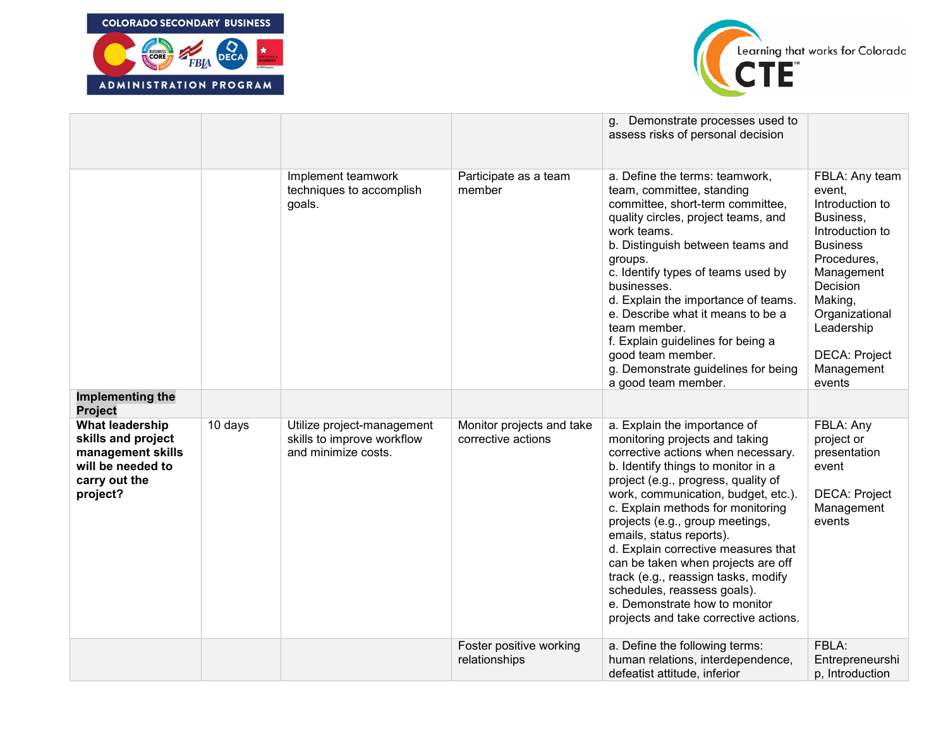



|                                                                                                                     |         |                                                                                 |                                                 | g. Demonstrate processes used to<br>assess risks of personal decision                                                                                                                                                                                                                                                                                                                                                                                                                                                                                     |                                                                                                                                                                                                                             |
|---------------------------------------------------------------------------------------------------------------------|---------|---------------------------------------------------------------------------------|-------------------------------------------------|-----------------------------------------------------------------------------------------------------------------------------------------------------------------------------------------------------------------------------------------------------------------------------------------------------------------------------------------------------------------------------------------------------------------------------------------------------------------------------------------------------------------------------------------------------------|-----------------------------------------------------------------------------------------------------------------------------------------------------------------------------------------------------------------------------|
| Implementing the                                                                                                    |         | Implement teamwork<br>techniques to accomplish<br>goals.                        | Participate as a team<br>member                 | a. Define the terms: teamwork,<br>team, committee, standing<br>committee, short-term committee,<br>quality circles, project teams, and<br>work teams.<br>b. Distinguish between teams and<br>groups.<br>c. Identify types of teams used by<br>businesses.<br>d. Explain the importance of teams.<br>e. Describe what it means to be a<br>team member.<br>f. Explain guidelines for being a<br>good team member.<br>g. Demonstrate guidelines for being<br>a good team member.                                                                             | FBLA: Any team<br>event,<br>Introduction to<br>Business,<br>Introduction to<br><b>Business</b><br>Procedures,<br>Management<br>Decision<br>Making,<br>Organizational<br>Leadership<br>DECA: Project<br>Management<br>events |
| <b>Project</b>                                                                                                      |         |                                                                                 |                                                 |                                                                                                                                                                                                                                                                                                                                                                                                                                                                                                                                                           |                                                                                                                                                                                                                             |
| <b>What leadership</b><br>skills and project<br>management skills<br>will be needed to<br>carry out the<br>project? | 10 days | Utilize project-management<br>skills to improve workflow<br>and minimize costs. | Monitor projects and take<br>corrective actions | a. Explain the importance of<br>monitoring projects and taking<br>corrective actions when necessary.<br>b. Identify things to monitor in a<br>project (e.g., progress, quality of<br>work, communication, budget, etc.).<br>c. Explain methods for monitoring<br>projects (e.g., group meetings,<br>emails, status reports).<br>d. Explain corrective measures that<br>can be taken when projects are off<br>track (e.g., reassign tasks, modify<br>schedules, reassess goals).<br>e. Demonstrate how to monitor<br>projects and take corrective actions. | FBLA: Any<br>project or<br>presentation<br>event<br><b>DECA: Project</b><br>Management<br>events                                                                                                                            |
|                                                                                                                     |         |                                                                                 | Foster positive working<br>relationships        | a. Define the following terms:<br>human relations, interdependence,<br>defeatist attitude, inferior                                                                                                                                                                                                                                                                                                                                                                                                                                                       | FBLA:<br>Entrepreneurshi<br>p, Introduction                                                                                                                                                                                 |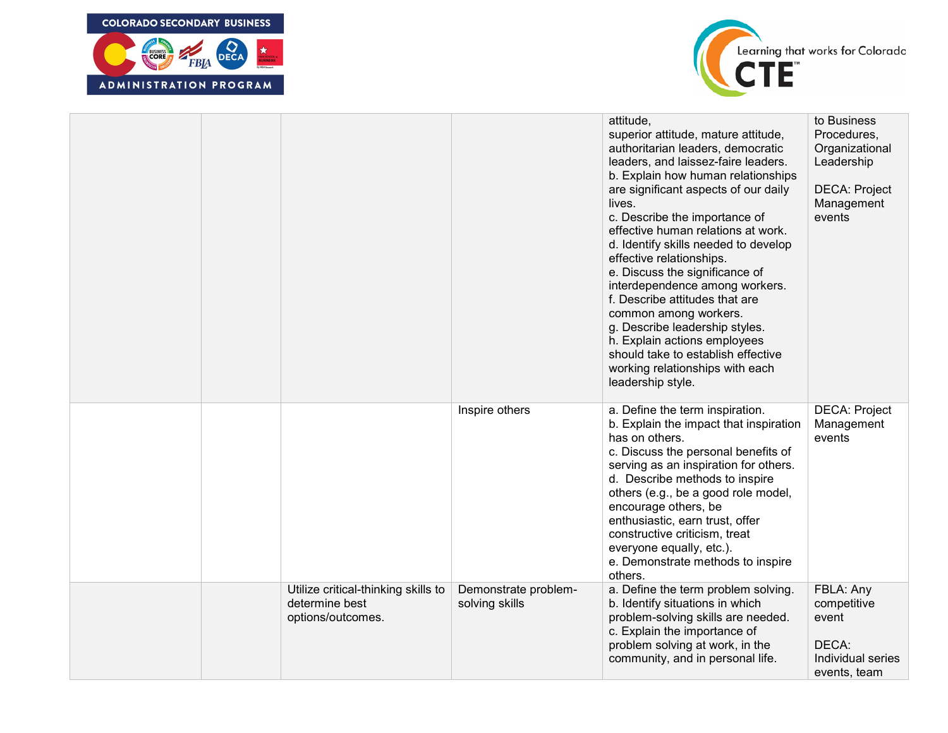



|  |                                                                            |                                        | attitude,<br>superior attitude, mature attitude,<br>authoritarian leaders, democratic<br>leaders, and laissez-faire leaders.<br>b. Explain how human relationships<br>are significant aspects of our daily<br>lives.<br>c. Describe the importance of<br>effective human relations at work.<br>d. Identify skills needed to develop<br>effective relationships.<br>e. Discuss the significance of<br>interdependence among workers.<br>f. Describe attitudes that are<br>common among workers.<br>g. Describe leadership styles.<br>h. Explain actions employees<br>should take to establish effective<br>working relationships with each<br>leadership style. | to Business<br>Procedures,<br>Organizational<br>Leadership<br><b>DECA: Project</b><br>Management<br>events |
|--|----------------------------------------------------------------------------|----------------------------------------|----------------------------------------------------------------------------------------------------------------------------------------------------------------------------------------------------------------------------------------------------------------------------------------------------------------------------------------------------------------------------------------------------------------------------------------------------------------------------------------------------------------------------------------------------------------------------------------------------------------------------------------------------------------|------------------------------------------------------------------------------------------------------------|
|  |                                                                            | Inspire others                         | a. Define the term inspiration.<br>b. Explain the impact that inspiration<br>has on others.<br>c. Discuss the personal benefits of<br>serving as an inspiration for others.<br>d. Describe methods to inspire<br>others (e.g., be a good role model,<br>encourage others, be<br>enthusiastic, earn trust, offer<br>constructive criticism, treat<br>everyone equally, etc.).<br>e. Demonstrate methods to inspire<br>others.                                                                                                                                                                                                                                   | <b>DECA: Project</b><br>Management<br>events                                                               |
|  | Utilize critical-thinking skills to<br>determine best<br>options/outcomes. | Demonstrate problem-<br>solving skills | a. Define the term problem solving.<br>b. Identify situations in which<br>problem-solving skills are needed.<br>c. Explain the importance of<br>problem solving at work, in the<br>community, and in personal life.                                                                                                                                                                                                                                                                                                                                                                                                                                            | FBLA: Any<br>competitive<br>event<br>DECA:<br>Individual series<br>events, team                            |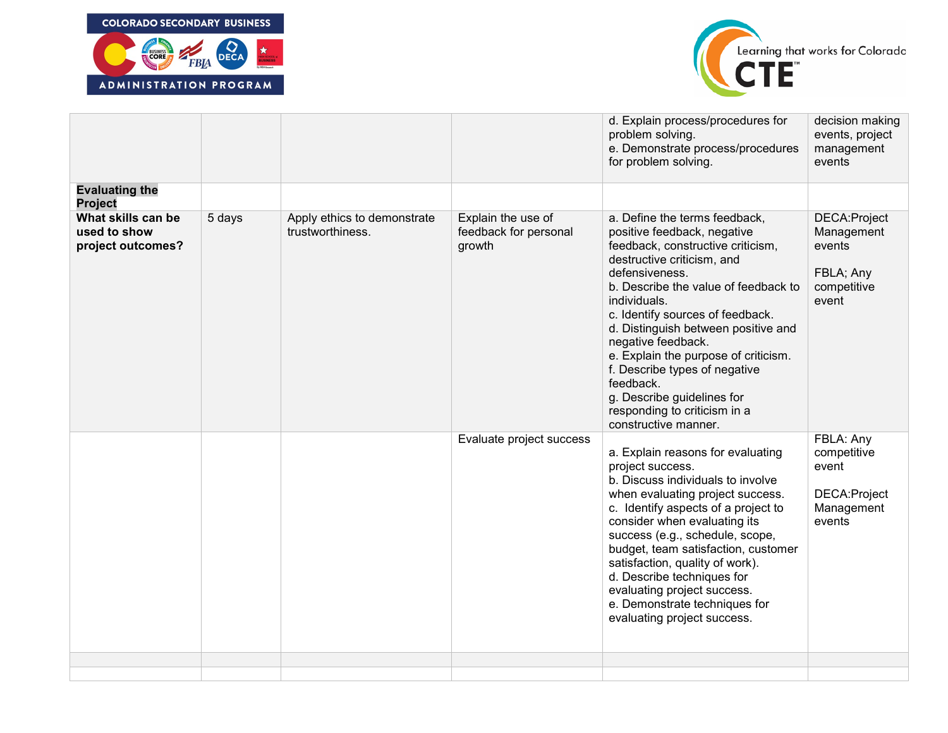



|                                                         |        |                                                 |                                                       | d. Explain process/procedures for<br>problem solving.<br>e. Demonstrate process/procedures<br>for problem solving.                                                                                                                                                                                                                                                                                                                                                                     | decision making<br>events, project<br>management<br>events                 |
|---------------------------------------------------------|--------|-------------------------------------------------|-------------------------------------------------------|----------------------------------------------------------------------------------------------------------------------------------------------------------------------------------------------------------------------------------------------------------------------------------------------------------------------------------------------------------------------------------------------------------------------------------------------------------------------------------------|----------------------------------------------------------------------------|
| <b>Evaluating the</b><br>Project                        |        |                                                 |                                                       |                                                                                                                                                                                                                                                                                                                                                                                                                                                                                        |                                                                            |
| What skills can be<br>used to show<br>project outcomes? | 5 days | Apply ethics to demonstrate<br>trustworthiness. | Explain the use of<br>feedback for personal<br>growth | a. Define the terms feedback,<br>positive feedback, negative<br>feedback, constructive criticism,<br>destructive criticism, and<br>defensiveness.<br>b. Describe the value of feedback to<br>individuals.<br>c. Identify sources of feedback.<br>d. Distinguish between positive and<br>negative feedback.<br>e. Explain the purpose of criticism.<br>f. Describe types of negative<br>feedback.<br>g. Describe guidelines for<br>responding to criticism in a<br>constructive manner. | DECA: Project<br>Management<br>events<br>FBLA; Any<br>competitive<br>event |
|                                                         |        |                                                 | Evaluate project success                              | a. Explain reasons for evaluating<br>project success.<br>b. Discuss individuals to involve<br>when evaluating project success.<br>c. Identify aspects of a project to<br>consider when evaluating its<br>success (e.g., schedule, scope,<br>budget, team satisfaction, customer<br>satisfaction, quality of work).<br>d. Describe techniques for<br>evaluating project success.<br>e. Demonstrate techniques for<br>evaluating project success.                                        | FBLA: Any<br>competitive<br>event<br>DECA: Project<br>Management<br>events |
|                                                         |        |                                                 |                                                       |                                                                                                                                                                                                                                                                                                                                                                                                                                                                                        |                                                                            |